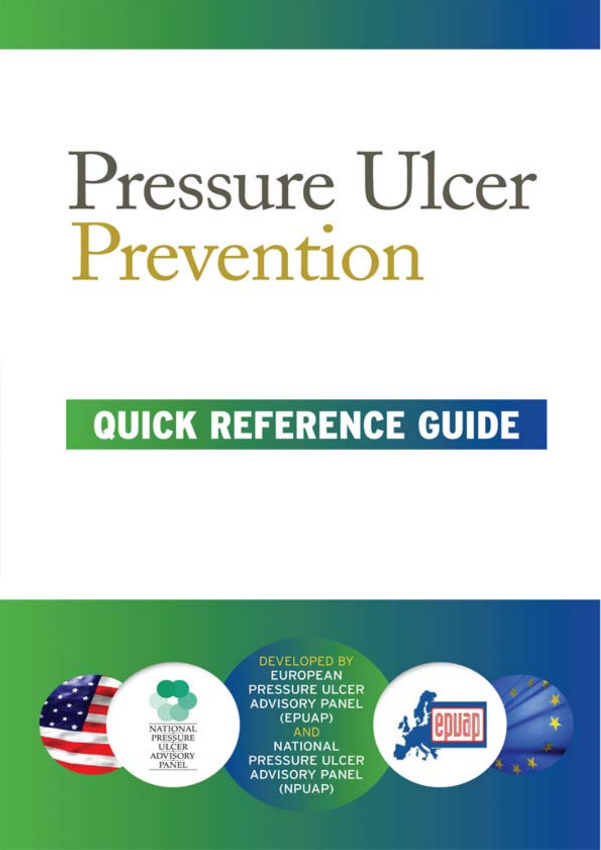# Pressure Ulcer Prevention

# **QUICK REFERENCE GUIDE**

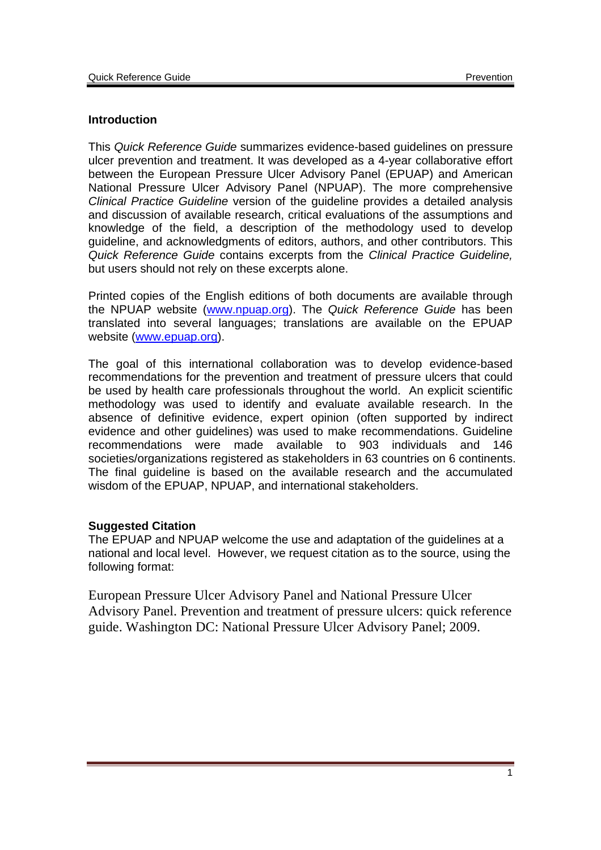#### **Introduction**

This *Quick Reference Guide* summarizes evidence-based guidelines on pressure ulcer prevention and treatment. It was developed as a 4-year collaborative effort between the European Pressure Ulcer Advisory Panel (EPUAP) and American National Pressure Ulcer Advisory Panel (NPUAP). The more comprehensive *Clinical Practice Guideline* version of the guideline provides a detailed analysis and discussion of available research, critical evaluations of the assumptions and knowledge of the field, a description of the methodology used to develop guideline, and acknowledgments of editors, authors, and other contributors. This *Quick Reference Guide* contains excerpts from the *Clinical Practice Guideline,*  but users should not rely on these excerpts alone.

Printed copies of the English editions of both documents are available through the NPUAP website (www.npuap.org). The *Quick Reference Guide* has been translated into several languages; translations are available on the EPUAP website (www.epuap.org).

The goal of this international collaboration was to develop evidence-based recommendations for the prevention and treatment of pressure ulcers that could be used by health care professionals throughout the world. An explicit scientific methodology was used to identify and evaluate available research. In the absence of definitive evidence, expert opinion (often supported by indirect evidence and other guidelines) was used to make recommendations. Guideline recommendations were made available to 903 individuals and societies/organizations registered as stakeholders in 63 countries on 6 continents. The final guideline is based on the available research and the accumulated wisdom of the EPUAP, NPUAP, and international stakeholders.

#### **Suggested Citation**

The EPUAP and NPUAP welcome the use and adaptation of the guidelines at a national and local level. However, we request citation as to the source, using the following format:

European Pressure Ulcer Advisory Panel and National Pressure Ulcer Advisory Panel. Prevention and treatment of pressure ulcers: quick reference guide. Washington DC: National Pressure Ulcer Advisory Panel; 2009.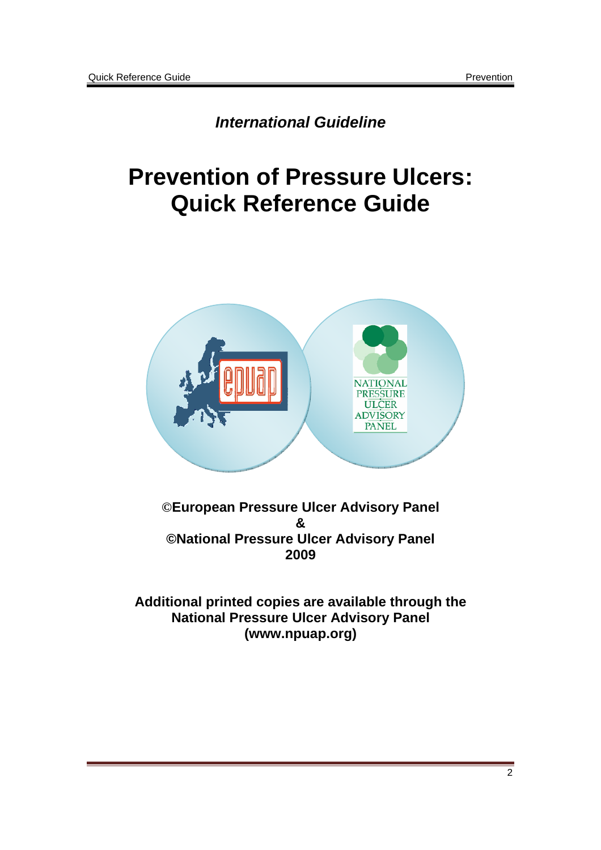# *International Guideline*

# **Prevention of Pressure Ulcers: Quick Reference Guide**



#### **©European Pressure Ulcer Advisory Panel & ©National Pressure Ulcer Advisory Panel 2009**

**Additional printed copies are available through the National Pressure Ulcer Advisory Panel (www.npuap.org)**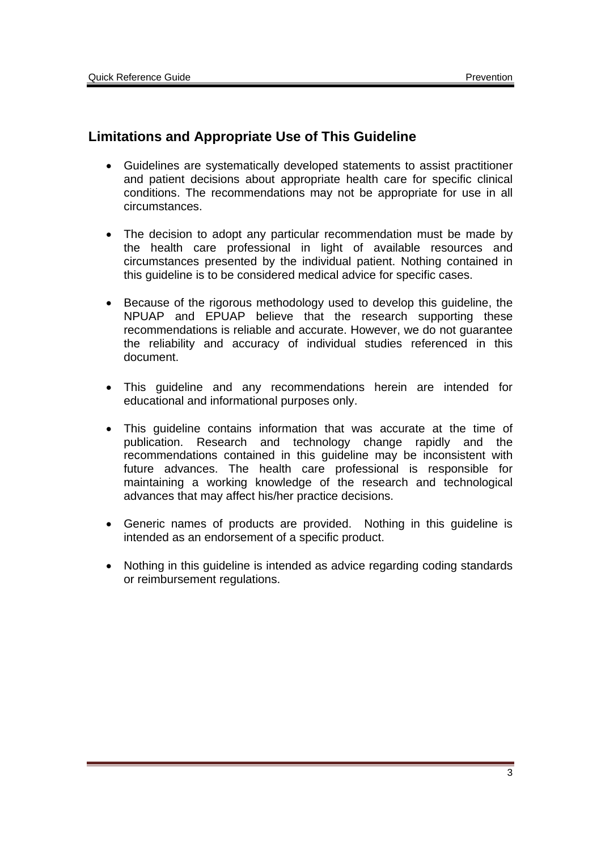#### **Limitations and Appropriate Use of This Guideline**

- Guidelines are systematically developed statements to assist practitioner and patient decisions about appropriate health care for specific clinical conditions. The recommendations may not be appropriate for use in all circumstances.
- The decision to adopt any particular recommendation must be made by the health care professional in light of available resources and circumstances presented by the individual patient. Nothing contained in this guideline is to be considered medical advice for specific cases.
- Because of the rigorous methodology used to develop this guideline, the NPUAP and EPUAP believe that the research supporting these recommendations is reliable and accurate. However, we do not guarantee the reliability and accuracy of individual studies referenced in this document.
- This guideline and any recommendations herein are intended for educational and informational purposes only.
- This guideline contains information that was accurate at the time of publication. Research and technology change rapidly and the recommendations contained in this guideline may be inconsistent with future advances. The health care professional is responsible for maintaining a working knowledge of the research and technological advances that may affect his/her practice decisions.
- Generic names of products are provided. Nothing in this guideline is intended as an endorsement of a specific product.
- Nothing in this guideline is intended as advice regarding coding standards or reimbursement regulations.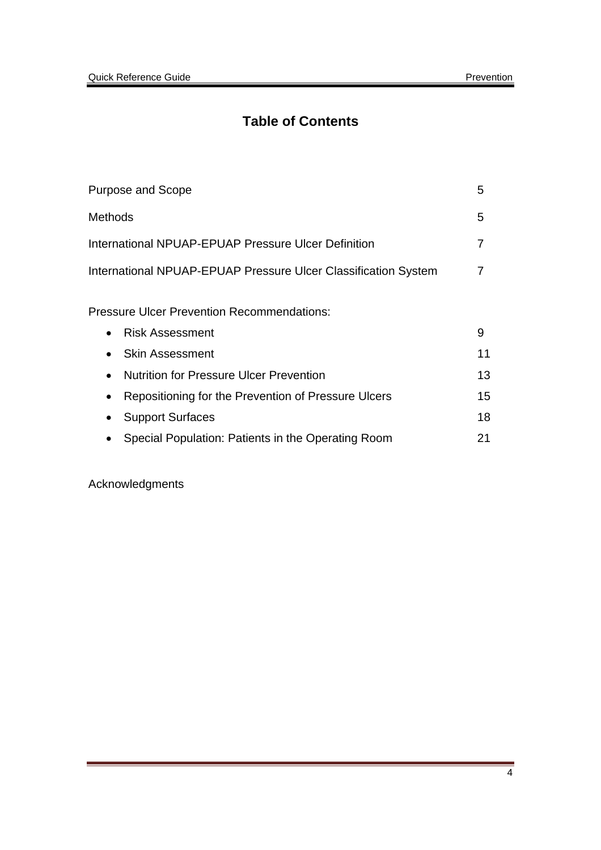# **Table of Contents**

| <b>Purpose and Scope</b>                                              | 5  |  |  |
|-----------------------------------------------------------------------|----|--|--|
| Methods                                                               |    |  |  |
| International NPUAP-EPUAP Pressure Ulcer Definition                   |    |  |  |
| <b>International NPUAP-EPUAP Pressure Ulcer Classification System</b> |    |  |  |
| <b>Pressure Ulcer Prevention Recommendations:</b>                     |    |  |  |
| <b>Risk Assessment</b><br>$\bullet$                                   | 9  |  |  |
| <b>Skin Assessment</b>                                                | 11 |  |  |
| <b>Nutrition for Pressure Ulcer Prevention</b><br>$\bullet$           | 13 |  |  |
| Repositioning for the Prevention of Pressure Ulcers                   | 15 |  |  |
| <b>Support Surfaces</b>                                               | 18 |  |  |
| Special Population: Patients in the Operating Room                    | 21 |  |  |
|                                                                       |    |  |  |

Acknowledgments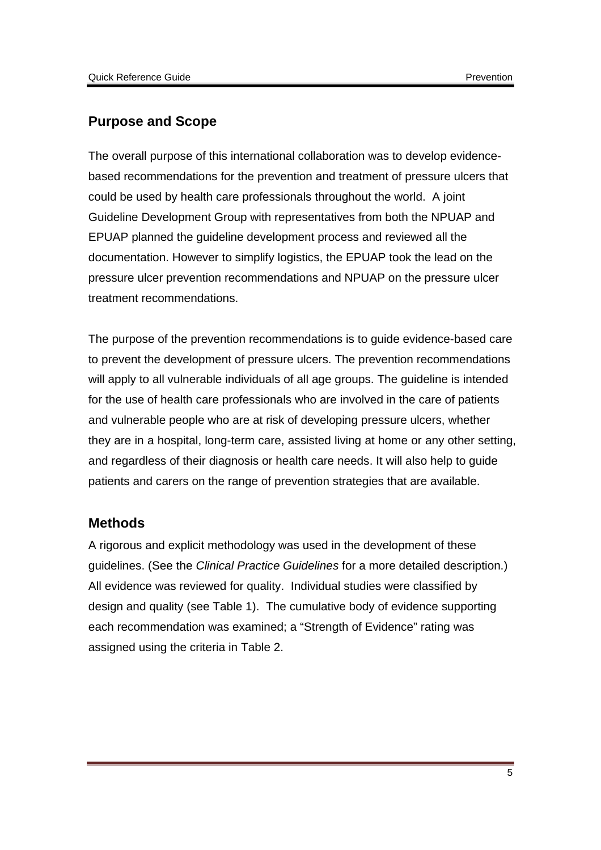#### **Purpose and Scope**

The overall purpose of this international collaboration was to develop evidencebased recommendations for the prevention and treatment of pressure ulcers that could be used by health care professionals throughout the world. A joint Guideline Development Group with representatives from both the NPUAP and EPUAP planned the guideline development process and reviewed all the documentation. However to simplify logistics, the EPUAP took the lead on the pressure ulcer prevention recommendations and NPUAP on the pressure ulcer treatment recommendations.

The purpose of the prevention recommendations is to guide evidence-based care to prevent the development of pressure ulcers. The prevention recommendations will apply to all vulnerable individuals of all age groups. The guideline is intended for the use of health care professionals who are involved in the care of patients and vulnerable people who are at risk of developing pressure ulcers, whether they are in a hospital, long-term care, assisted living at home or any other setting, and regardless of their diagnosis or health care needs. It will also help to guide patients and carers on the range of prevention strategies that are available.

#### **Methods**

A rigorous and explicit methodology was used in the development of these guidelines. (See the *Clinical Practice Guidelines* for a more detailed description.) All evidence was reviewed for quality. Individual studies were classified by design and quality (see Table 1). The cumulative body of evidence supporting each recommendation was examined; a "Strength of Evidence" rating was assigned using the criteria in Table 2.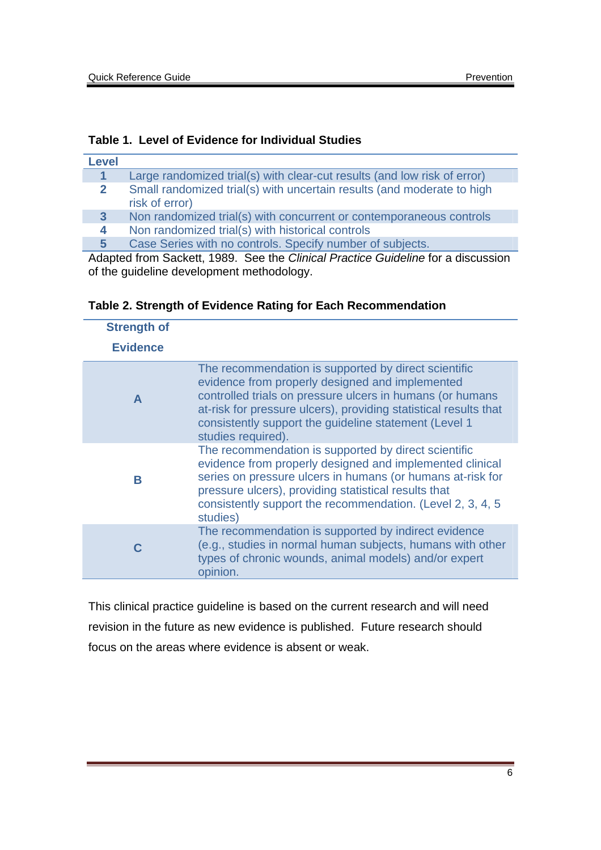|  | Table 1. Level of Evidence for Individual Studies |
|--|---------------------------------------------------|
|--|---------------------------------------------------|

| <b>Level</b> |                                                                                          |
|--------------|------------------------------------------------------------------------------------------|
|              | Large randomized trial(s) with clear-cut results (and low risk of error)                 |
| $\mathbf{2}$ | Small randomized trial(s) with uncertain results (and moderate to high<br>risk of error) |
| 3            | Non randomized trial(s) with concurrent or contemporaneous controls                      |
| 4            | Non randomized trial(s) with historical controls                                         |
| 5            | Case Series with no controls. Specify number of subjects.                                |

Adapted from Sackett, 1989. See the *Clinical Practice Guideline* for a discussion of the guideline development methodology.

|  |  | Table 2. Strength of Evidence Rating for Each Recommendation |
|--|--|--------------------------------------------------------------|
|  |  |                                                              |

| <b>Strength of</b> |                                                                                                                                                                                                                                                                                                                         |
|--------------------|-------------------------------------------------------------------------------------------------------------------------------------------------------------------------------------------------------------------------------------------------------------------------------------------------------------------------|
| <b>Evidence</b>    |                                                                                                                                                                                                                                                                                                                         |
| A                  | The recommendation is supported by direct scientific<br>evidence from properly designed and implemented<br>controlled trials on pressure ulcers in humans (or humans<br>at-risk for pressure ulcers), providing statistical results that<br>consistently support the guideline statement (Level 1<br>studies required). |
| B                  | The recommendation is supported by direct scientific<br>evidence from properly designed and implemented clinical<br>series on pressure ulcers in humans (or humans at-risk for<br>pressure ulcers), providing statistical results that<br>consistently support the recommendation. (Level 2, 3, 4, 5)<br>studies)       |
| C                  | The recommendation is supported by indirect evidence<br>(e.g., studies in normal human subjects, humans with other<br>types of chronic wounds, animal models) and/or expert<br>opinion.                                                                                                                                 |

This clinical practice guideline is based on the current research and will need revision in the future as new evidence is published. Future research should focus on the areas where evidence is absent or weak.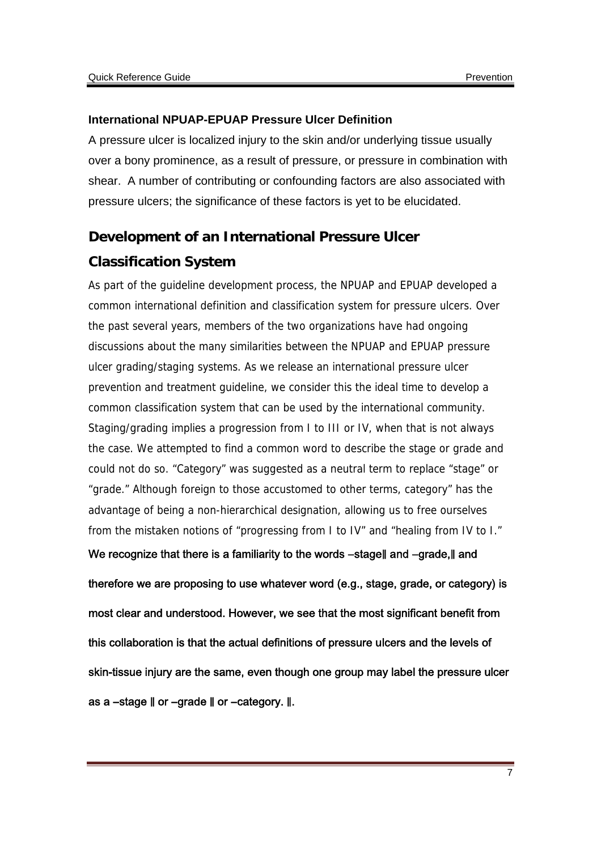#### **International NPUAP-EPUAP Pressure Ulcer Definition**

A pressure ulcer is localized injury to the skin and/or underlying tissue usually over a bony prominence, as a result of pressure, or pressure in combination with shear. A number of contributing or confounding factors are also associated with pressure ulcers; the significance of these factors is yet to be elucidated.

#### **Development of an International Pressure Ulcer**

#### **Classification System**

As part of the guideline development process, the NPUAP and EPUAP developed a common international definition and classification system for pressure ulcers. Over the past several years, members of the two organizations have had ongoing discussions about the many similarities between the NPUAP and EPUAP pressure ulcer grading/staging systems. As we release an international pressure ulcer prevention and treatment guideline, we consider this the ideal time to develop a common classification system that can be used by the international community. Staging/grading implies a progression from I to III or IV, when that is not always the case. We attempted to find a common word to describe the stage or grade and could not do so. "Category" was suggested as a neutral term to replace "stage" or "grade." Although foreign to those accustomed to other terms, category" has the advantage of being a non-hierarchical designation, allowing us to free ourselves from the mistaken notions of "progressing from I to IV" and "healing from IV to I."

#### We recognize that there is a familiarity to the words -stage|| and -grade,|| and

therefore we are proposing to use whatever word (e.g., stage, grade, or category) is most clear and understood. However, we see that the most significant benefit from this collaboration is that the actual definitions of pressure ulcers and the levels of skin-tissue injury are the same, even though one group may label the pressure ulcer as a ―stage ‖ or ―grade ‖ or ―category. ‖.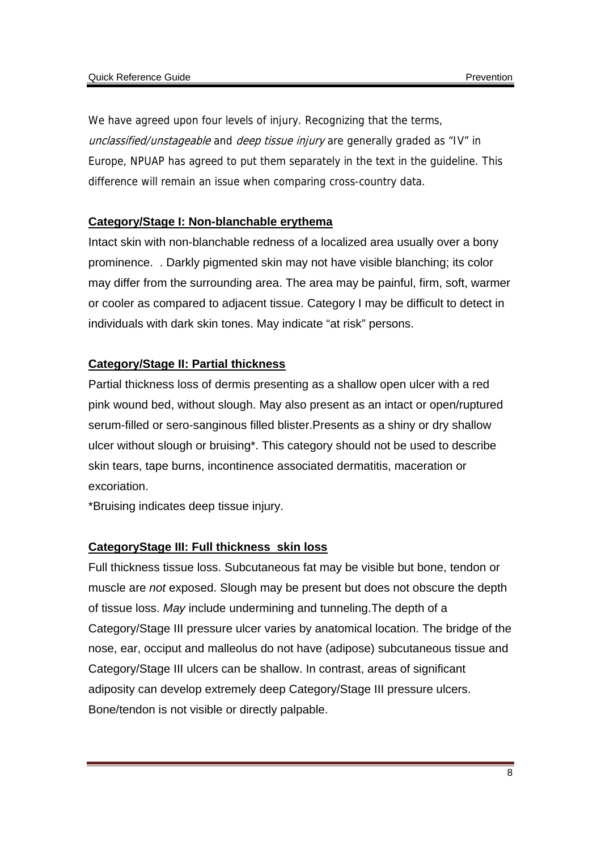We have agreed upon four levels of injury. Recognizing that the terms, unclassified/unstageable and *deep tissue injury* are generally graded as "IV" in Europe, NPUAP has agreed to put them separately in the text in the guideline. This difference will remain an issue when comparing cross-country data.

#### **Category/Stage I: Non-blanchable erythema**

Intact skin with non-blanchable redness of a localized area usually over a bony prominence. . Darkly pigmented skin may not have visible blanching; its color may differ from the surrounding area. The area may be painful, firm, soft, warmer or cooler as compared to adjacent tissue. Category I may be difficult to detect in individuals with dark skin tones. May indicate "at risk" persons.

#### **Category/Stage II: Partial thickness**

Partial thickness loss of dermis presenting as a shallow open ulcer with a red pink wound bed, without slough. May also present as an intact or open/ruptured serum-filled or sero-sanginous filled blister.Presents as a shiny or dry shallow ulcer without slough or bruising\*. This category should not be used to describe skin tears, tape burns, incontinence associated dermatitis, maceration or excoriation.

\*Bruising indicates deep tissue injury.

#### **CategoryStage III: Full thickness skin loss**

Full thickness tissue loss. Subcutaneous fat may be visible but bone, tendon or muscle are *not* exposed. Slough may be present but does not obscure the depth of tissue loss. *May* include undermining and tunneling.The depth of a Category/Stage III pressure ulcer varies by anatomical location. The bridge of the nose, ear, occiput and malleolus do not have (adipose) subcutaneous tissue and Category/Stage III ulcers can be shallow. In contrast, areas of significant adiposity can develop extremely deep Category/Stage III pressure ulcers. Bone/tendon is not visible or directly palpable.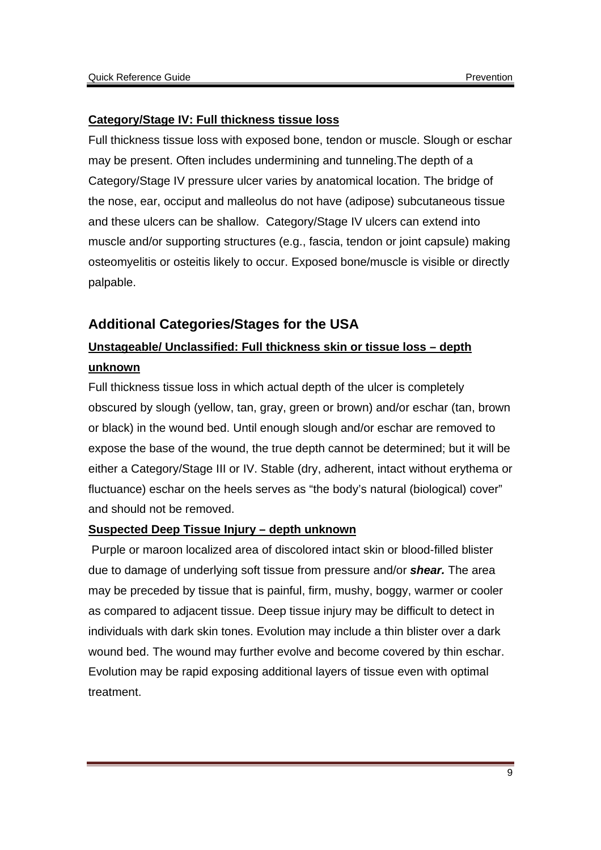#### **Category/Stage IV: Full thickness tissue loss**

Full thickness tissue loss with exposed bone, tendon or muscle. Slough or eschar may be present. Often includes undermining and tunneling.The depth of a Category/Stage IV pressure ulcer varies by anatomical location. The bridge of the nose, ear, occiput and malleolus do not have (adipose) subcutaneous tissue and these ulcers can be shallow. Category/Stage IV ulcers can extend into muscle and/or supporting structures (e.g., fascia, tendon or joint capsule) making osteomyelitis or osteitis likely to occur. Exposed bone/muscle is visible or directly palpable.

#### **Additional Categories/Stages for the USA**

## **Unstageable/ Unclassified: Full thickness skin or tissue loss – depth unknown**

Full thickness tissue loss in which actual depth of the ulcer is completely obscured by slough (yellow, tan, gray, green or brown) and/or eschar (tan, brown or black) in the wound bed. Until enough slough and/or eschar are removed to expose the base of the wound, the true depth cannot be determined; but it will be either a Category/Stage III or IV. Stable (dry, adherent, intact without erythema or fluctuance) eschar on the heels serves as "the body's natural (biological) cover" and should not be removed.

#### **Suspected Deep Tissue Injury – depth unknown**

Purple or maroon localized area of discolored intact skin or blood-filled blister due to damage of underlying soft tissue from pressure and/or *shear.* The area may be preceded by tissue that is painful, firm, mushy, boggy, warmer or cooler as compared to adjacent tissue. Deep tissue injury may be difficult to detect in individuals with dark skin tones. Evolution may include a thin blister over a dark wound bed. The wound may further evolve and become covered by thin eschar. Evolution may be rapid exposing additional layers of tissue even with optimal treatment.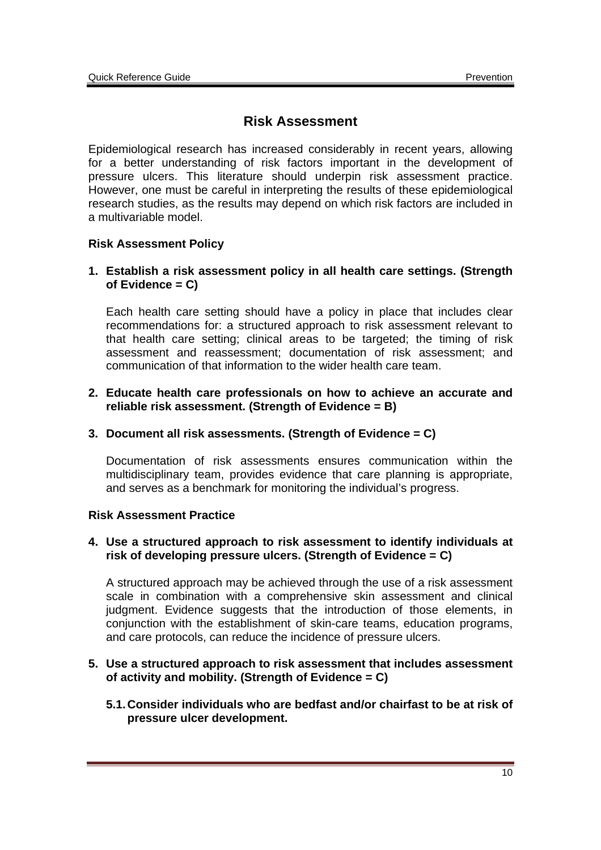#### **Risk Assessment**

Epidemiological research has increased considerably in recent years, allowing for a better understanding of risk factors important in the development of pressure ulcers. This literature should underpin risk assessment practice. However, one must be careful in interpreting the results of these epidemiological research studies, as the results may depend on which risk factors are included in a multivariable model.

#### **Risk Assessment Policy**

#### **1. Establish a risk assessment policy in all health care settings. (Strength of Evidence = C)**

Each health care setting should have a policy in place that includes clear recommendations for: a structured approach to risk assessment relevant to that health care setting; clinical areas to be targeted; the timing of risk assessment and reassessment; documentation of risk assessment; and communication of that information to the wider health care team.

#### **2. Educate health care professionals on how to achieve an accurate and reliable risk assessment. (Strength of Evidence = B)**

#### **3. Document all risk assessments. (Strength of Evidence = C)**

Documentation of risk assessments ensures communication within the multidisciplinary team, provides evidence that care planning is appropriate, and serves as a benchmark for monitoring the individual's progress.

#### **Risk Assessment Practice**

#### **4. Use a structured approach to risk assessment to identify individuals at risk of developing pressure ulcers. (Strength of Evidence = C)**

A structured approach may be achieved through the use of a risk assessment scale in combination with a comprehensive skin assessment and clinical judgment. Evidence suggests that the introduction of those elements, in conjunction with the establishment of skin-care teams, education programs, and care protocols, can reduce the incidence of pressure ulcers.

#### **5. Use a structured approach to risk assessment that includes assessment of activity and mobility. (Strength of Evidence = C)**

**5.1. Consider individuals who are bedfast and/or chairfast to be at risk of pressure ulcer development.**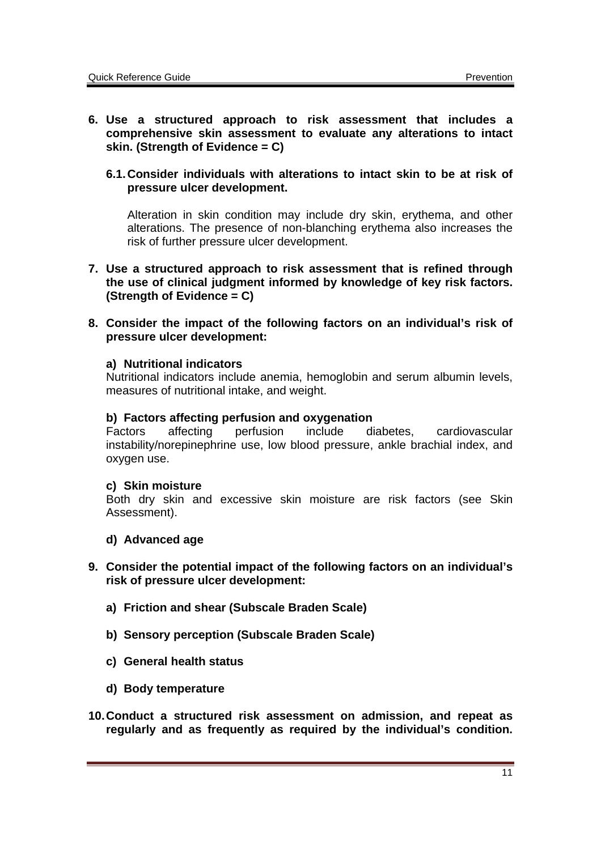- **6. Use a structured approach to risk assessment that includes a comprehensive skin assessment to evaluate any alterations to intact skin. (Strength of Evidence = C)** 
	- **6.1. Consider individuals with alterations to intact skin to be at risk of pressure ulcer development.**

Alteration in skin condition may include dry skin, erythema, and other alterations. The presence of non-blanching erythema also increases the risk of further pressure ulcer development.

- **7. Use a structured approach to risk assessment that is refined through the use of clinical judgment informed by knowledge of key risk factors. (Strength of Evidence = C)**
- **8. Consider the impact of the following factors on an individual's risk of pressure ulcer development:**

#### **a) Nutritional indicators**

Nutritional indicators include anemia, hemoglobin and serum albumin levels, measures of nutritional intake, and weight.

#### **b) Factors affecting perfusion and oxygenation**

Factors affecting perfusion include diabetes, cardiovascular instability/norepinephrine use, low blood pressure, ankle brachial index, and oxygen use.

#### **c) Skin moisture**

Both dry skin and excessive skin moisture are risk factors (see Skin Assessment).

#### **d) Advanced age**

- **9. Consider the potential impact of the following factors on an individual's risk of pressure ulcer development:** 
	- **a) Friction and shear (Subscale Braden Scale)**
	- **b) Sensory perception (Subscale Braden Scale)**
	- **c) General health status**
	- **d) Body temperature**
- **10. Conduct a structured risk assessment on admission, and repeat as regularly and as frequently as required by the individual's condition.**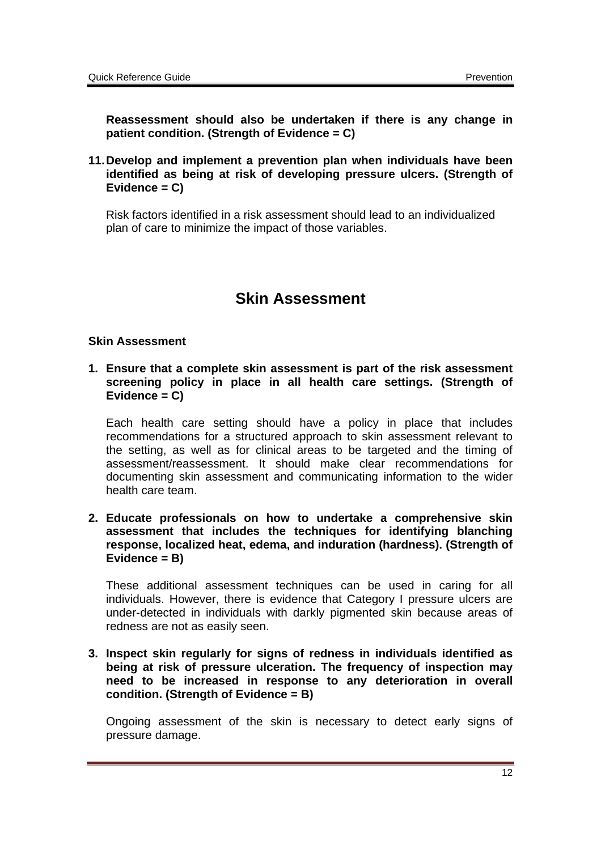**Reassessment should also be undertaken if there is any change in patient condition. (Strength of Evidence = C)** 

#### **11. Develop and implement a prevention plan when individuals have been identified as being at risk of developing pressure ulcers. (Strength of Evidence = C)**

Risk factors identified in a risk assessment should lead to an individualized plan of care to minimize the impact of those variables.

### **Skin Assessment**

#### **Skin Assessment**

**1. Ensure that a complete skin assessment is part of the risk assessment screening policy in place in all health care settings. (Strength of Evidence = C)** 

Each health care setting should have a policy in place that includes recommendations for a structured approach to skin assessment relevant to the setting, as well as for clinical areas to be targeted and the timing of assessment/reassessment. It should make clear recommendations for documenting skin assessment and communicating information to the wider health care team.

#### **2. Educate professionals on how to undertake a comprehensive skin assessment that includes the techniques for identifying blanching response, localized heat, edema, and induration (hardness). (Strength of Evidence = B)**

These additional assessment techniques can be used in caring for all individuals. However, there is evidence that Category I pressure ulcers are under-detected in individuals with darkly pigmented skin because areas of redness are not as easily seen.

**3. Inspect skin regularly for signs of redness in individuals identified as being at risk of pressure ulceration. The frequency of inspection may need to be increased in response to any deterioration in overall condition. (Strength of Evidence = B)** 

Ongoing assessment of the skin is necessary to detect early signs of pressure damage.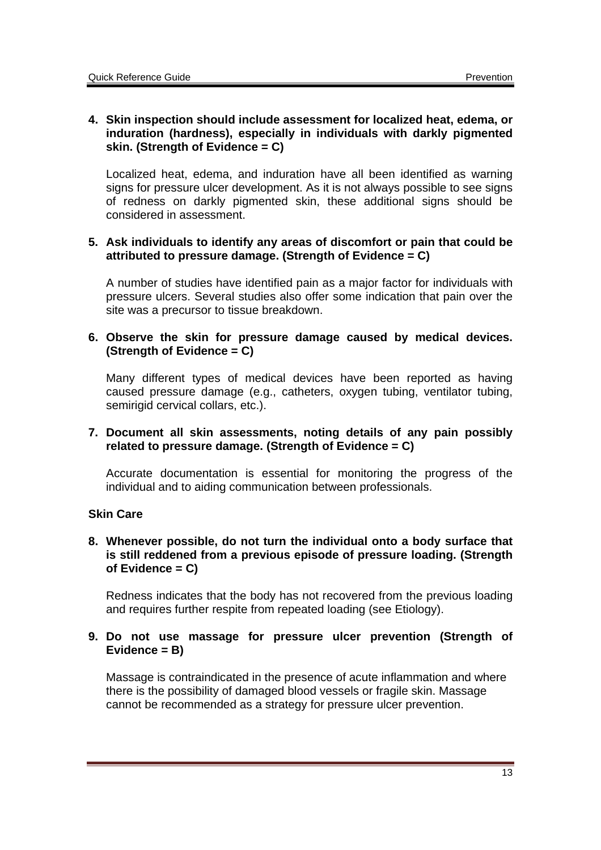#### **4. Skin inspection should include assessment for localized heat, edema, or induration (hardness), especially in individuals with darkly pigmented skin. (Strength of Evidence = C)**

Localized heat, edema, and induration have all been identified as warning signs for pressure ulcer development. As it is not always possible to see signs of redness on darkly pigmented skin, these additional signs should be considered in assessment.

#### **5. Ask individuals to identify any areas of discomfort or pain that could be attributed to pressure damage. (Strength of Evidence = C)**

A number of studies have identified pain as a major factor for individuals with pressure ulcers. Several studies also offer some indication that pain over the site was a precursor to tissue breakdown.

#### **6. Observe the skin for pressure damage caused by medical devices. (Strength of Evidence = C)**

Many different types of medical devices have been reported as having caused pressure damage (e.g., catheters, oxygen tubing, ventilator tubing, semirigid cervical collars, etc.).

#### **7. Document all skin assessments, noting details of any pain possibly related to pressure damage. (Strength of Evidence = C)**

Accurate documentation is essential for monitoring the progress of the individual and to aiding communication between professionals.

#### **Skin Care**

#### **8. Whenever possible, do not turn the individual onto a body surface that is still reddened from a previous episode of pressure loading. (Strength of Evidence = C)**

Redness indicates that the body has not recovered from the previous loading and requires further respite from repeated loading (see Etiology).

#### **9. Do not use massage for pressure ulcer prevention (Strength of Evidence = B)**

Massage is contraindicated in the presence of acute inflammation and where there is the possibility of damaged blood vessels or fragile skin. Massage cannot be recommended as a strategy for pressure ulcer prevention.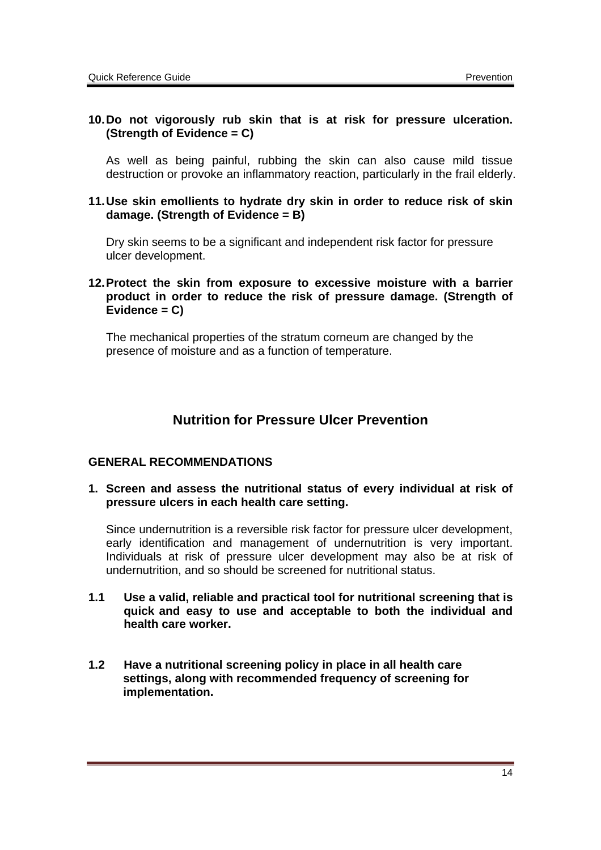#### **10. Do not vigorously rub skin that is at risk for pressure ulceration. (Strength of Evidence = C)**

As well as being painful, rubbing the skin can also cause mild tissue destruction or provoke an inflammatory reaction, particularly in the frail elderly.

#### **11. Use skin emollients to hydrate dry skin in order to reduce risk of skin damage. (Strength of Evidence = B)**

Dry skin seems to be a significant and independent risk factor for pressure ulcer development.

#### **12. Protect the skin from exposure to excessive moisture with a barrier product in order to reduce the risk of pressure damage. (Strength of Evidence = C)**

The mechanical properties of the stratum corneum are changed by the presence of moisture and as a function of temperature.

#### **Nutrition for Pressure Ulcer Prevention**

#### **GENERAL RECOMMENDATIONS**

**1. Screen and assess the nutritional status of every individual at risk of pressure ulcers in each health care setting.** 

Since undernutrition is a reversible risk factor for pressure ulcer development, early identification and management of undernutrition is very important. Individuals at risk of pressure ulcer development may also be at risk of undernutrition, and so should be screened for nutritional status.

- **1.1 Use a valid, reliable and practical tool for nutritional screening that is quick and easy to use and acceptable to both the individual and health care worker.**
- **1.2 Have a nutritional screening policy in place in all health care settings, along with recommended frequency of screening for implementation.**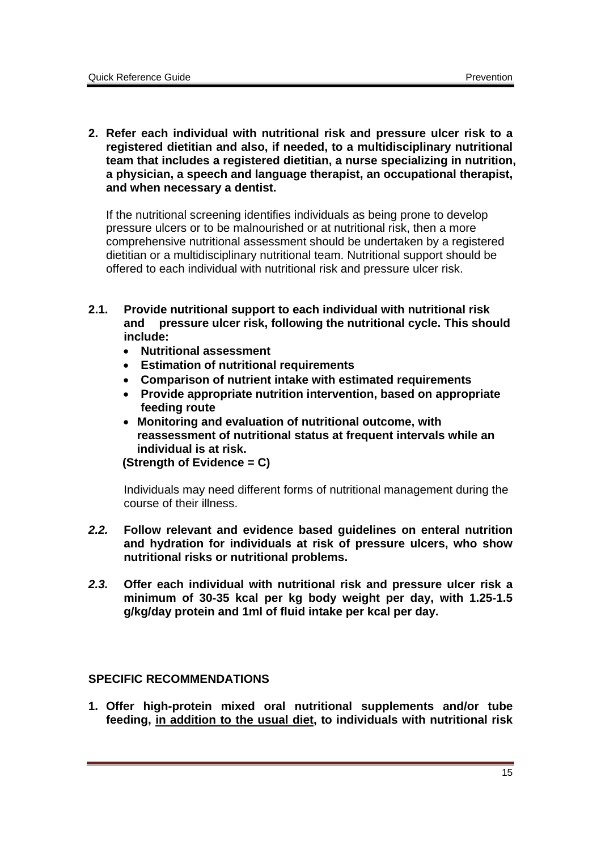**2. Refer each individual with nutritional risk and pressure ulcer risk to a registered dietitian and also, if needed, to a multidisciplinary nutritional team that includes a registered dietitian, a nurse specializing in nutrition, a physician, a speech and language therapist, an occupational therapist, and when necessary a dentist.** 

If the nutritional screening identifies individuals as being prone to develop pressure ulcers or to be malnourished or at nutritional risk, then a more comprehensive nutritional assessment should be undertaken by a registered dietitian or a multidisciplinary nutritional team. Nutritional support should be offered to each individual with nutritional risk and pressure ulcer risk.

- **2.1. Provide nutritional support to each individual with nutritional risk and pressure ulcer risk, following the nutritional cycle. This should include:** 
	- **Nutritional assessment**
	- **Estimation of nutritional requirements**
	- **Comparison of nutrient intake with estimated requirements**
	- **Provide appropriate nutrition intervention, based on appropriate feeding route**
	- **Monitoring and evaluation of nutritional outcome, with reassessment of nutritional status at frequent intervals while an individual is at risk.**

 **(Strength of Evidence = C)** 

 Individuals may need different forms of nutritional management during the course of their illness.

- *2.2.* **Follow relevant and evidence based guidelines on enteral nutrition and hydration for individuals at risk of pressure ulcers, who show nutritional risks or nutritional problems.**
- *2.3.* **Offer each individual with nutritional risk and pressure ulcer risk a minimum of 30-35 kcal per kg body weight per day, with 1.25-1.5 g/kg/day protein and 1ml of fluid intake per kcal per day.**

#### **SPECIFIC RECOMMENDATIONS**

**1. Offer high-protein mixed oral nutritional supplements and/or tube feeding, in addition to the usual diet, to individuals with nutritional risk**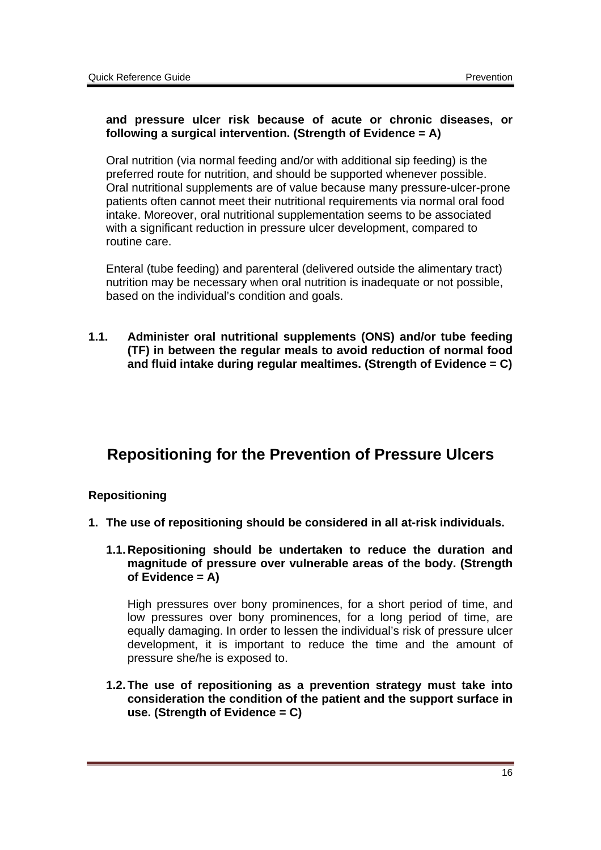#### **and pressure ulcer risk because of acute or chronic diseases, or following a surgical intervention. (Strength of Evidence = A)**

Oral nutrition (via normal feeding and/or with additional sip feeding) is the preferred route for nutrition, and should be supported whenever possible. Oral nutritional supplements are of value because many pressure-ulcer-prone patients often cannot meet their nutritional requirements via normal oral food intake. Moreover, oral nutritional supplementation seems to be associated with a significant reduction in pressure ulcer development, compared to routine care.

Enteral (tube feeding) and parenteral (delivered outside the alimentary tract) nutrition may be necessary when oral nutrition is inadequate or not possible, based on the individual's condition and goals.

**1.1. Administer oral nutritional supplements (ONS) and/or tube feeding (TF) in between the regular meals to avoid reduction of normal food and fluid intake during regular mealtimes. (Strength of Evidence = C)** 

# **Repositioning for the Prevention of Pressure Ulcers**

#### **Repositioning**

- **1. The use of repositioning should be considered in all at-risk individuals.** 
	- **1.1. Repositioning should be undertaken to reduce the duration and magnitude of pressure over vulnerable areas of the body. (Strength of Evidence = A)**

High pressures over bony prominences, for a short period of time, and low pressures over bony prominences, for a long period of time, are equally damaging. In order to lessen the individual's risk of pressure ulcer development, it is important to reduce the time and the amount of pressure she/he is exposed to.

**1.2. The use of repositioning as a prevention strategy must take into consideration the condition of the patient and the support surface in use. (Strength of Evidence = C)**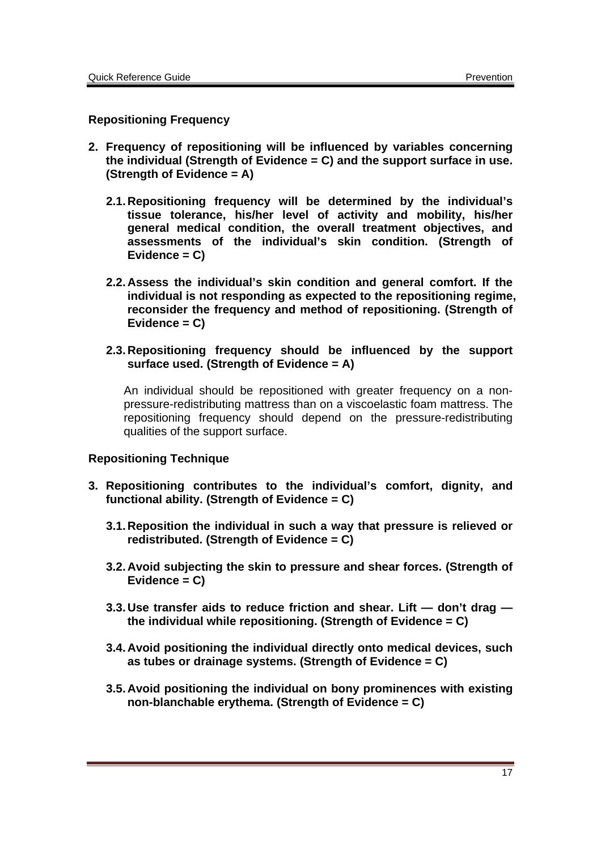#### **Repositioning Frequency**

- **2. Frequency of repositioning will be influenced by variables concerning the individual (Strength of Evidence = C) and the support surface in use. (Strength of Evidence = A)** 
	- **2.1. Repositioning frequency will be determined by the individual's tissue tolerance, his/her level of activity and mobility, his/her general medical condition, the overall treatment objectives, and assessments of the individual's skin condition. (Strength of Evidence = C)**
	- **2.2. Assess the individual's skin condition and general comfort. If the individual is not responding as expected to the repositioning regime, reconsider the frequency and method of repositioning. (Strength of Evidence = C)**
	- **2.3. Repositioning frequency should be influenced by the support surface used. (Strength of Evidence = A)**

An individual should be repositioned with greater frequency on a nonpressure-redistributing mattress than on a viscoelastic foam mattress. The repositioning frequency should depend on the pressure-redistributing qualities of the support surface.

#### **Repositioning Technique**

- **3. Repositioning contributes to the individual's comfort, dignity, and functional ability. (Strength of Evidence = C)** 
	- **3.1. Reposition the individual in such a way that pressure is relieved or redistributed. (Strength of Evidence = C)**
	- **3.2. Avoid subjecting the skin to pressure and shear forces. (Strength of Evidence = C)**
	- **3.3. Use transfer aids to reduce friction and shear. Lift don't drag the individual while repositioning. (Strength of Evidence = C)**
	- **3.4. Avoid positioning the individual directly onto medical devices, such as tubes or drainage systems. (Strength of Evidence = C)**
	- **3.5. Avoid positioning the individual on bony prominences with existing non-blanchable erythema. (Strength of Evidence = C)**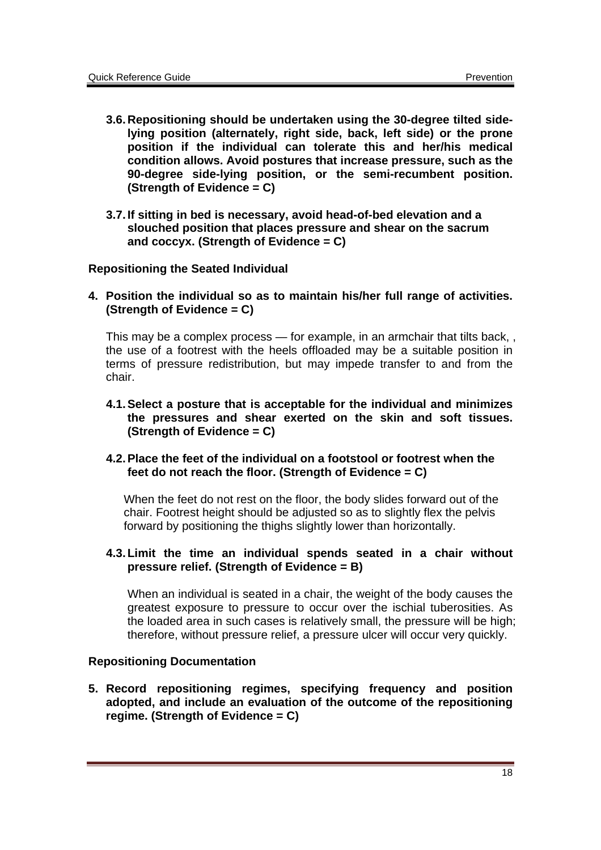- **3.6. Repositioning should be undertaken using the 30-degree tilted sidelying position (alternately, right side, back, left side) or the prone position if the individual can tolerate this and her/his medical condition allows. Avoid postures that increase pressure, such as the 90-degree side-lying position, or the semi-recumbent position. (Strength of Evidence = C)**
- **3.7. If sitting in bed is necessary, avoid head-of-bed elevation and a slouched position that places pressure and shear on the sacrum and coccyx. (Strength of Evidence = C)**

#### **Repositioning the Seated Individual**

**4. Position the individual so as to maintain his/her full range of activities. (Strength of Evidence = C)** 

This may be a complex process — for example, in an armchair that tilts back, , the use of a footrest with the heels offloaded may be a suitable position in terms of pressure redistribution, but may impede transfer to and from the chair.

**4.1. Select a posture that is acceptable for the individual and minimizes the pressures and shear exerted on the skin and soft tissues. (Strength of Evidence = C)** 

#### **4.2. Place the feet of the individual on a footstool or footrest when the feet do not reach the floor. (Strength of Evidence = C)**

When the feet do not rest on the floor, the body slides forward out of the chair. Footrest height should be adjusted so as to slightly flex the pelvis forward by positioning the thighs slightly lower than horizontally.

#### **4.3. Limit the time an individual spends seated in a chair without pressure relief. (Strength of Evidence = B)**

When an individual is seated in a chair, the weight of the body causes the greatest exposure to pressure to occur over the ischial tuberosities. As the loaded area in such cases is relatively small, the pressure will be high; therefore, without pressure relief, a pressure ulcer will occur very quickly.

#### **Repositioning Documentation**

**5. Record repositioning regimes, specifying frequency and position adopted, and include an evaluation of the outcome of the repositioning regime. (Strength of Evidence = C)**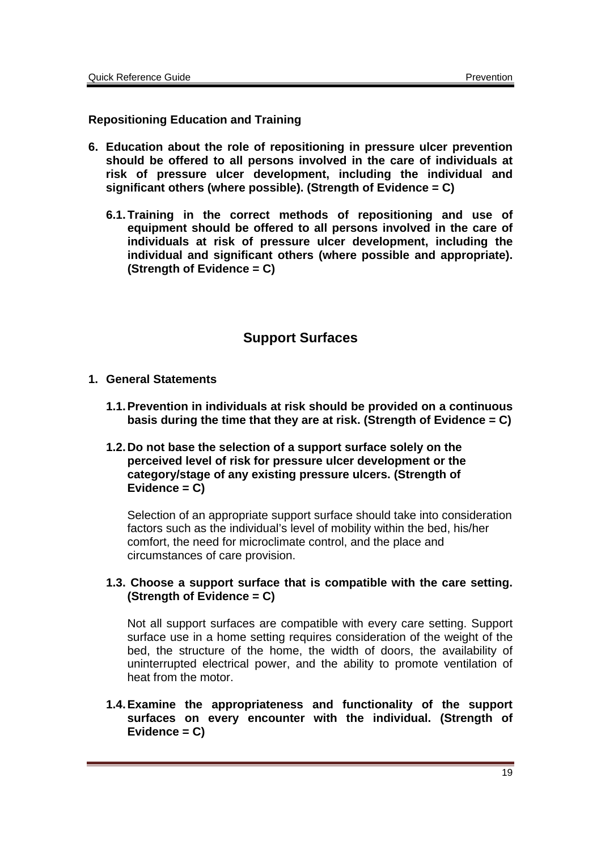**Repositioning Education and Training** 

- **6. Education about the role of repositioning in pressure ulcer prevention should be offered to all persons involved in the care of individuals at risk of pressure ulcer development, including the individual and significant others (where possible). (Strength of Evidence = C)** 
	- **6.1. Training in the correct methods of repositioning and use of equipment should be offered to all persons involved in the care of individuals at risk of pressure ulcer development, including the individual and significant others (where possible and appropriate). (Strength of Evidence = C)**

#### **Support Surfaces**

- **1. General Statements** 
	- **1.1. Prevention in individuals at risk should be provided on a continuous basis during the time that they are at risk. (Strength of Evidence = C)**
	- **1.2. Do not base the selection of a support surface solely on the perceived level of risk for pressure ulcer development or the category/stage of any existing pressure ulcers. (Strength of Evidence = C)**

Selection of an appropriate support surface should take into consideration factors such as the individual's level of mobility within the bed, his/her comfort, the need for microclimate control, and the place and circumstances of care provision.

#### **1.3. Choose a support surface that is compatible with the care setting. (Strength of Evidence = C)**

Not all support surfaces are compatible with every care setting. Support surface use in a home setting requires consideration of the weight of the bed, the structure of the home, the width of doors, the availability of uninterrupted electrical power, and the ability to promote ventilation of heat from the motor.

**1.4. Examine the appropriateness and functionality of the support surfaces on every encounter with the individual. (Strength of Evidence = C)**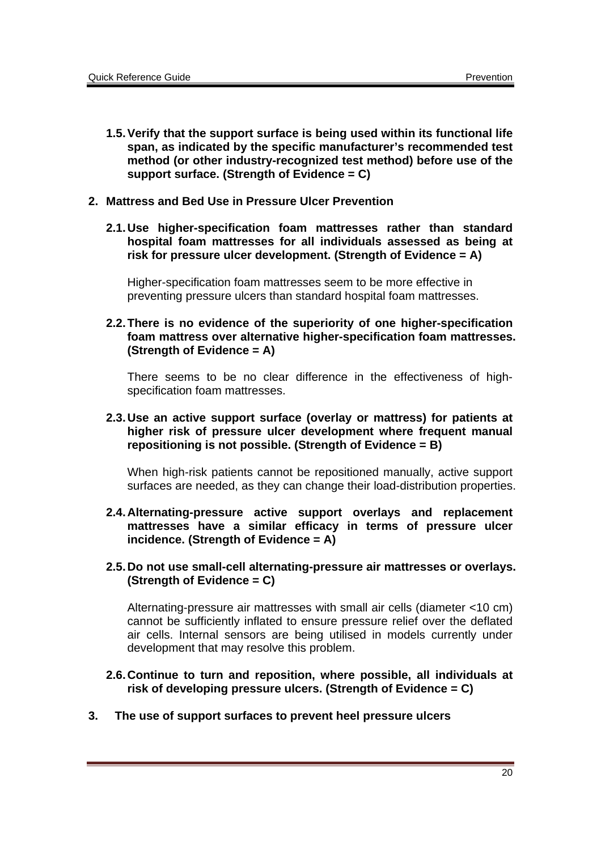- **1.5. Verify that the support surface is being used within its functional life span, as indicated by the specific manufacturer's recommended test method (or other industry-recognized test method) before use of the support surface. (Strength of Evidence = C)**
- **2. Mattress and Bed Use in Pressure Ulcer Prevention**
	- **2.1. Use higher-specification foam mattresses rather than standard hospital foam mattresses for all individuals assessed as being at risk for pressure ulcer development. (Strength of Evidence = A)**

Higher-specification foam mattresses seem to be more effective in preventing pressure ulcers than standard hospital foam mattresses.

**2.2. There is no evidence of the superiority of one higher-specification foam mattress over alternative higher-specification foam mattresses. (Strength of Evidence = A)**

There seems to be no clear difference in the effectiveness of highspecification foam mattresses.

**2.3. Use an active support surface (overlay or mattress) for patients at higher risk of pressure ulcer development where frequent manual repositioning is not possible. (Strength of Evidence = B)** 

When high-risk patients cannot be repositioned manually, active support surfaces are needed, as they can change their load-distribution properties.

- **2.4. Alternating-pressure active support overlays and replacement mattresses have a similar efficacy in terms of pressure ulcer incidence. (Strength of Evidence = A)**
- **2.5. Do not use small-cell alternating-pressure air mattresses or overlays. (Strength of Evidence = C)**

Alternating-pressure air mattresses with small air cells (diameter <10 cm) cannot be sufficiently inflated to ensure pressure relief over the deflated air cells. Internal sensors are being utilised in models currently under development that may resolve this problem.

- **2.6. Continue to turn and reposition, where possible, all individuals at risk of developing pressure ulcers. (Strength of Evidence = C)**
- **3. The use of support surfaces to prevent heel pressure ulcers**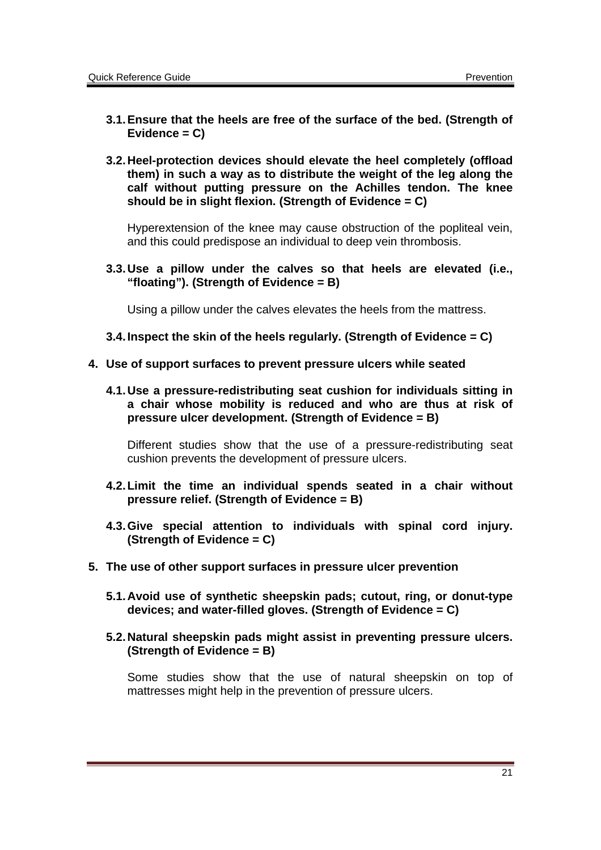- **3.1. Ensure that the heels are free of the surface of the bed. (Strength of Evidence = C)**
- **3.2. Heel-protection devices should elevate the heel completely (offload them) in such a way as to distribute the weight of the leg along the calf without putting pressure on the Achilles tendon. The knee should be in slight flexion. (Strength of Evidence = C)**

Hyperextension of the knee may cause obstruction of the popliteal vein, and this could predispose an individual to deep vein thrombosis.

**3.3. Use a pillow under the calves so that heels are elevated (i.e., "floating"). (Strength of Evidence = B)** 

Using a pillow under the calves elevates the heels from the mattress.

- **3.4. Inspect the skin of the heels regularly. (Strength of Evidence = C)**
- **4. Use of support surfaces to prevent pressure ulcers while seated** 
	- **4.1. Use a pressure-redistributing seat cushion for individuals sitting in a chair whose mobility is reduced and who are thus at risk of pressure ulcer development. (Strength of Evidence = B)**

Different studies show that the use of a pressure-redistributing seat cushion prevents the development of pressure ulcers.

- **4.2. Limit the time an individual spends seated in a chair without pressure relief. (Strength of Evidence = B)**
- **4.3. Give special attention to individuals with spinal cord injury. (Strength of Evidence = C)**
- **5. The use of other support surfaces in pressure ulcer prevention** 
	- **5.1. Avoid use of synthetic sheepskin pads; cutout, ring, or donut-type devices; and water-filled gloves. (Strength of Evidence = C)**
	- **5.2. Natural sheepskin pads might assist in preventing pressure ulcers. (Strength of Evidence = B)**

Some studies show that the use of natural sheepskin on top of mattresses might help in the prevention of pressure ulcers.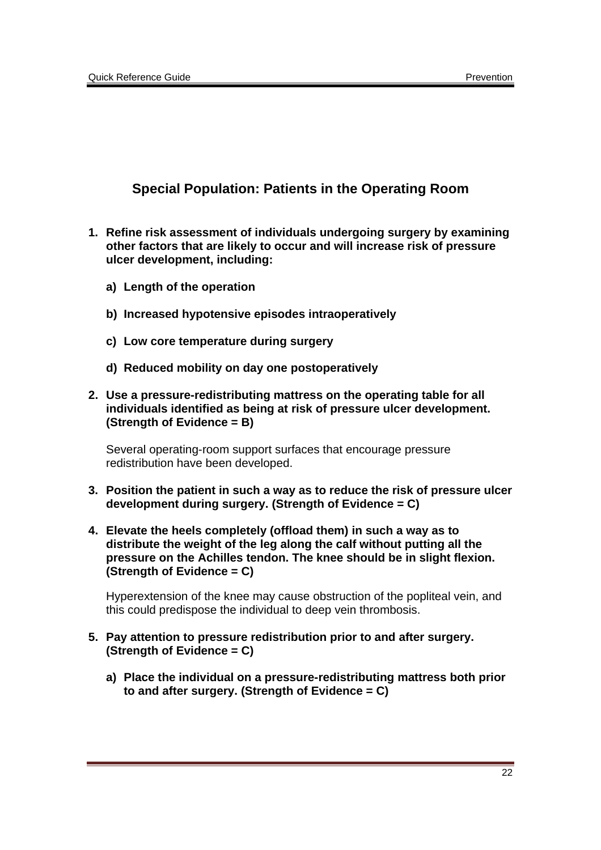#### **Special Population: Patients in the Operating Room**

- **1. Refine risk assessment of individuals undergoing surgery by examining other factors that are likely to occur and will increase risk of pressure ulcer development, including:** 
	- **a) Length of the operation**
	- **b) Increased hypotensive episodes intraoperatively**
	- **c) Low core temperature during surgery**
	- **d) Reduced mobility on day one postoperatively**
- **2. Use a pressure-redistributing mattress on the operating table for all individuals identified as being at risk of pressure ulcer development. (Strength of Evidence = B)**

Several operating-room support surfaces that encourage pressure redistribution have been developed.

- **3. Position the patient in such a way as to reduce the risk of pressure ulcer development during surgery. (Strength of Evidence = C)**
- **4. Elevate the heels completely (offload them) in such a way as to distribute the weight of the leg along the calf without putting all the pressure on the Achilles tendon. The knee should be in slight flexion. (Strength of Evidence = C)**

Hyperextension of the knee may cause obstruction of the popliteal vein, and this could predispose the individual to deep vein thrombosis.

- **5. Pay attention to pressure redistribution prior to and after surgery. (Strength of Evidence = C)** 
	- **a) Place the individual on a pressure-redistributing mattress both prior to and after surgery. (Strength of Evidence = C)**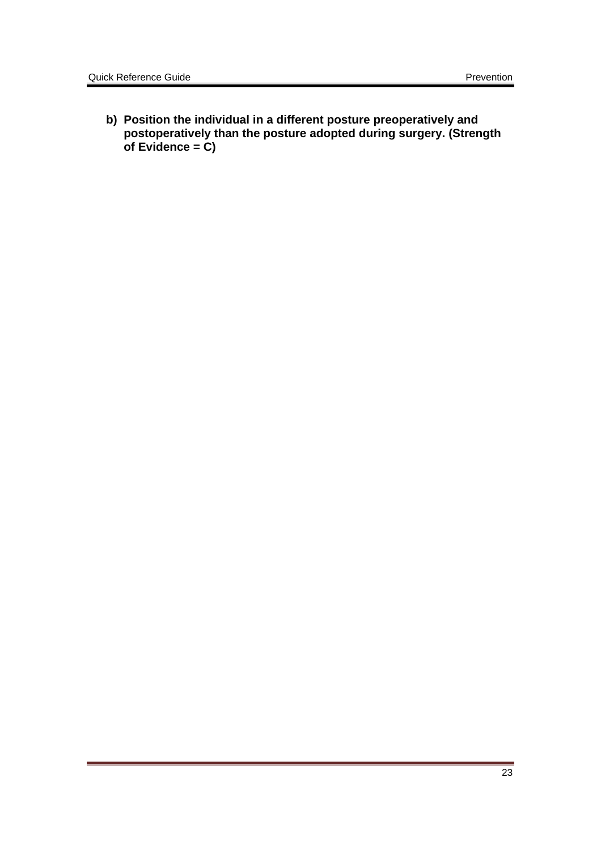**b) Position the individual in a different posture preoperatively and postoperatively than the posture adopted during surgery. (Strength of Evidence = C)**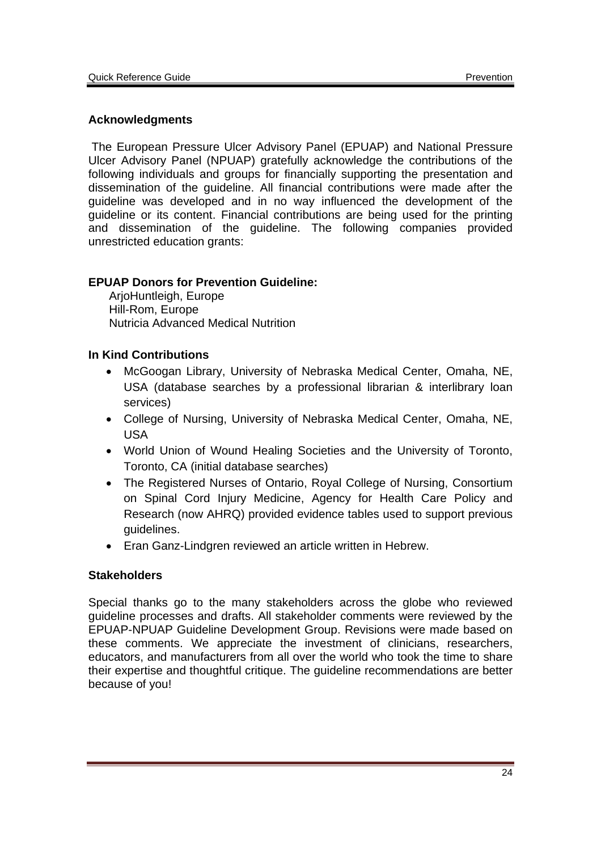#### **Acknowledgments**

 The European Pressure Ulcer Advisory Panel (EPUAP) and National Pressure Ulcer Advisory Panel (NPUAP) gratefully acknowledge the contributions of the following individuals and groups for financially supporting the presentation and dissemination of the guideline. All financial contributions were made after the guideline was developed and in no way influenced the development of the guideline or its content. Financial contributions are being used for the printing and dissemination of the guideline. The following companies provided unrestricted education grants:

#### **EPUAP Donors for Prevention Guideline:**

ArioHuntleigh, Europe Hill-Rom, Europe Nutricia Advanced Medical Nutrition

#### **In Kind Contributions**

- McGoogan Library, University of Nebraska Medical Center, Omaha, NE, USA (database searches by a professional librarian & interlibrary loan services)
- College of Nursing, University of Nebraska Medical Center, Omaha, NE, USA
- World Union of Wound Healing Societies and the University of Toronto, Toronto, CA (initial database searches)
- The Registered Nurses of Ontario, Royal College of Nursing, Consortium on Spinal Cord Injury Medicine, Agency for Health Care Policy and Research (now AHRQ) provided evidence tables used to support previous guidelines.
- Eran Ganz-Lindgren reviewed an article written in Hebrew.

#### **Stakeholders**

Special thanks go to the many stakeholders across the globe who reviewed guideline processes and drafts. All stakeholder comments were reviewed by the EPUAP-NPUAP Guideline Development Group. Revisions were made based on these comments. We appreciate the investment of clinicians, researchers, educators, and manufacturers from all over the world who took the time to share their expertise and thoughtful critique. The guideline recommendations are better because of you!